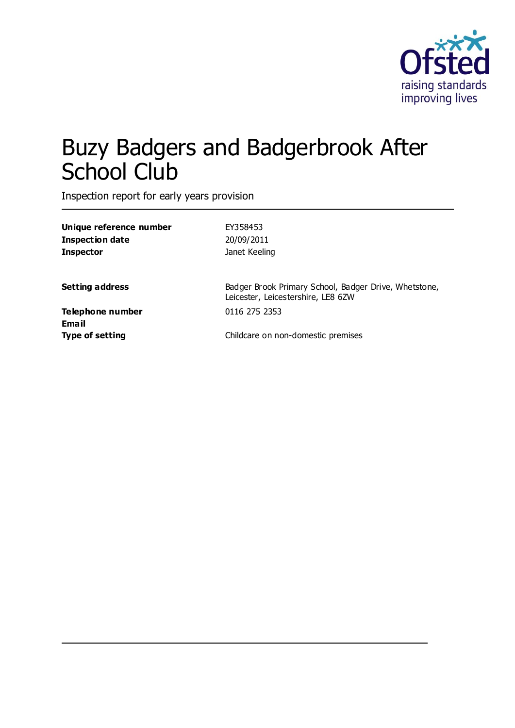

# Buzy Badgers and Badgerbrook After School Club

Inspection report for early years provision

| Unique reference number | EY358453                                              |
|-------------------------|-------------------------------------------------------|
| Inspection date         | 20/09/2011                                            |
| <b>Inspector</b>        | Janet Keeling                                         |
| <b>Setting address</b>  | Badger Brook Primary School, Badger Drive, Whetstone, |
|                         | Leicester, Leicestershire, LE8 6ZW                    |
| Telephone number        | 0116 275 2353                                         |
| Email                   |                                                       |
| <b>Type of setting</b>  | Childcare on non-domestic premises                    |
|                         |                                                       |
|                         |                                                       |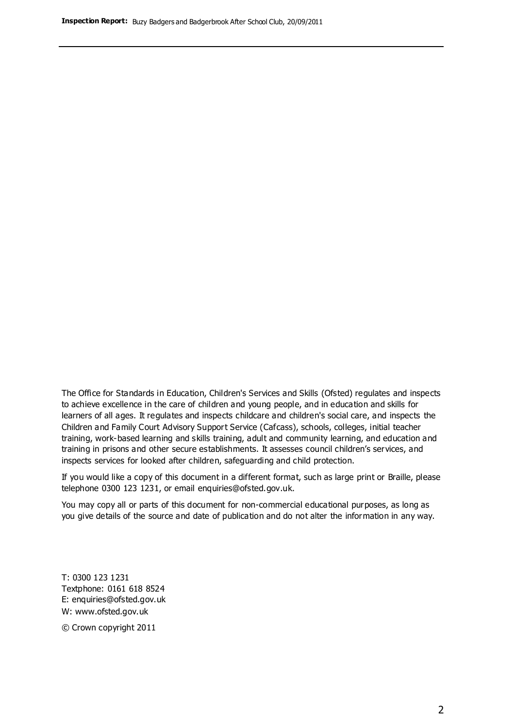The Office for Standards in Education, Children's Services and Skills (Ofsted) regulates and inspects to achieve excellence in the care of children and young people, and in education and skills for learners of all ages. It regulates and inspects childcare and children's social care, and inspects the Children and Family Court Advisory Support Service (Cafcass), schools, colleges, initial teacher training, work-based learning and skills training, adult and community learning, and education and training in prisons and other secure establishments. It assesses council children's services, and inspects services for looked after children, safeguarding and child protection.

If you would like a copy of this document in a different format, such as large print or Braille, please telephone 0300 123 1231, or email enquiries@ofsted.gov.uk.

You may copy all or parts of this document for non-commercial educational purposes, as long as you give details of the source and date of publication and do not alter the information in any way.

T: 0300 123 1231 Textphone: 0161 618 8524 E: enquiries@ofsted.gov.uk W: [www.ofsted.gov.uk](http://www.ofsted.gov.uk/)

© Crown copyright 2011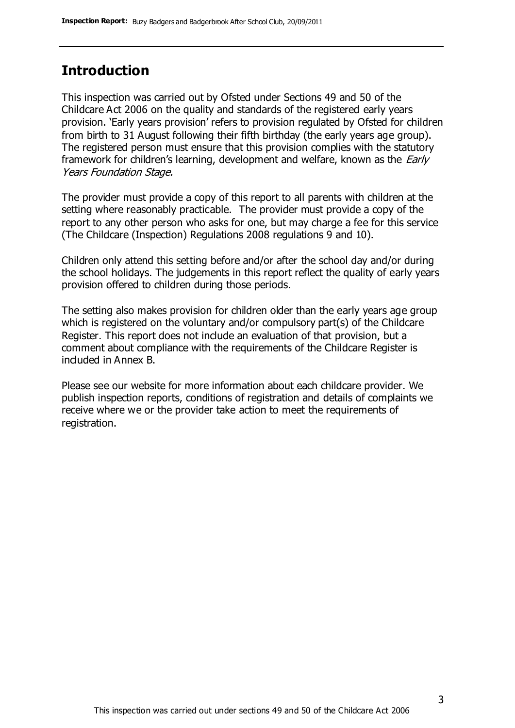### **Introduction**

This inspection was carried out by Ofsted under Sections 49 and 50 of the Childcare Act 2006 on the quality and standards of the registered early years provision. 'Early years provision' refers to provision regulated by Ofsted for children from birth to 31 August following their fifth birthday (the early years age group). The registered person must ensure that this provision complies with the statutory framework for children's learning, development and welfare, known as the *Early* Years Foundation Stage.

The provider must provide a copy of this report to all parents with children at the setting where reasonably practicable. The provider must provide a copy of the report to any other person who asks for one, but may charge a fee for this service (The Childcare (Inspection) Regulations 2008 regulations 9 and 10).

Children only attend this setting before and/or after the school day and/or during the school holidays. The judgements in this report reflect the quality of early years provision offered to children during those periods.

The setting also makes provision for children older than the early years age group which is registered on the voluntary and/or compulsory part(s) of the Childcare Register. This report does not include an evaluation of that provision, but a comment about compliance with the requirements of the Childcare Register is included in Annex B.

Please see our website for more information about each childcare provider. We publish inspection reports, conditions of registration and details of complaints we receive where we or the provider take action to meet the requirements of registration.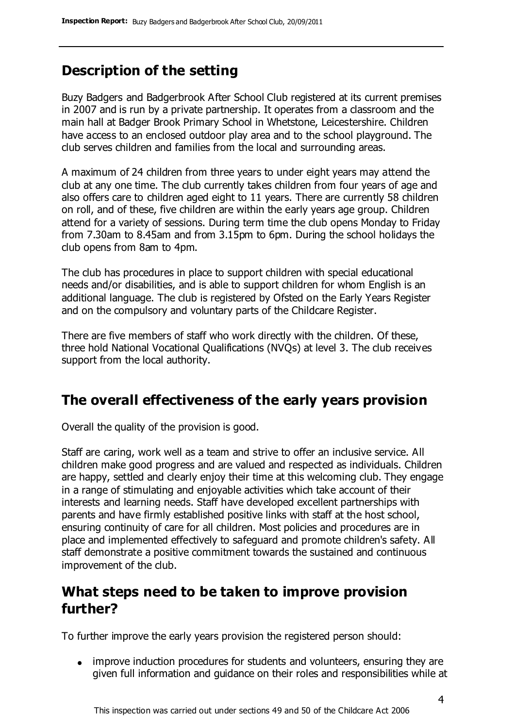### **Description of the setting**

Buzy Badgers and Badgerbrook After School Club registered at its current premises in 2007 and is run by a private partnership. It operates from a classroom and the main hall at Badger Brook Primary School in Whetstone, Leicestershire. Children have access to an enclosed outdoor play area and to the school playground. The club serves children and families from the local and surrounding areas.

A maximum of 24 children from three years to under eight years may attend the club at any one time. The club currently takes children from four years of age and also offers care to children aged eight to 11 years. There are currently 58 children on roll, and of these, five children are within the early years age group. Children attend for a variety of sessions. During term time the club opens Monday to Friday from 7.30am to 8.45am and from 3.15pm to 6pm. During the school holidays the club opens from 8am to 4pm.

The club has procedures in place to support children with special educational needs and/or disabilities, and is able to support children for whom English is an additional language. The club is registered by Ofsted on the Early Years Register and on the compulsory and voluntary parts of the Childcare Register.

There are five members of staff who work directly with the children. Of these, three hold National Vocational Qualifications (NVQs) at level 3. The club receives support from the local authority.

#### **The overall effectiveness of the early years provision**

Overall the quality of the provision is good.

Staff are caring, work well as a team and strive to offer an inclusive service. All children make good progress and are valued and respected as individuals. Children are happy, settled and clearly enjoy their time at this welcoming club. They engage in a range of stimulating and enjoyable activities which take account of their interests and learning needs. Staff have developed excellent partnerships with parents and have firmly established positive links with staff at the host school, ensuring continuity of care for all children. Most policies and procedures are in place and implemented effectively to safeguard and promote children's safety. All staff demonstrate a positive commitment towards the sustained and continuous improvement of the club.

### **What steps need to be taken to improve provision further?**

To further improve the early years provision the registered person should:

• improve induction procedures for students and volunteers, ensuring they are given full information and guidance on their roles and responsibilities while at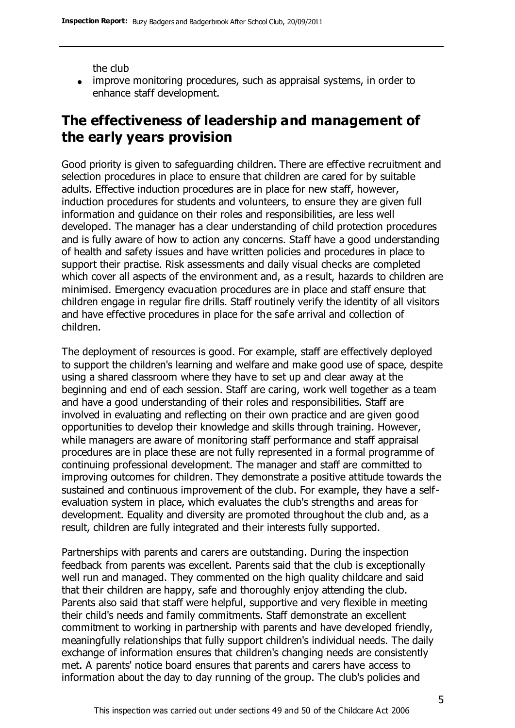the club

• improve monitoring procedures, such as appraisal systems, in order to enhance staff development.

### **The effectiveness of leadership and management of the early years provision**

Good priority is given to safeguarding children. There are effective recruitment and selection procedures in place to ensure that children are cared for by suitable adults. Effective induction procedures are in place for new staff, however, induction procedures for students and volunteers, to ensure they are given full information and guidance on their roles and responsibilities, are less well developed. The manager has a clear understanding of child protection procedures and is fully aware of how to action any concerns. Staff have a good understanding of health and safety issues and have written policies and procedures in place to support their practise. Risk assessments and daily visual checks are completed which cover all aspects of the environment and, as a result, hazards to children are minimised. Emergency evacuation procedures are in place and staff ensure that children engage in regular fire drills. Staff routinely verify the identity of all visitors and have effective procedures in place for the safe arrival and collection of children.

The deployment of resources is good. For example, staff are effectively deployed to support the children's learning and welfare and make good use of space, despite using a shared classroom where they have to set up and clear away at the beginning and end of each session. Staff are caring, work well together as a team and have a good understanding of their roles and responsibilities. Staff are involved in evaluating and reflecting on their own practice and are given good opportunities to develop their knowledge and skills through training. However, while managers are aware of monitoring staff performance and staff appraisal procedures are in place these are not fully represented in a formal programme of continuing professional development. The manager and staff are committed to improving outcomes for children. They demonstrate a positive attitude towards the sustained and continuous improvement of the club. For example, they have a selfevaluation system in place, which evaluates the club's strengths and areas for development. Equality and diversity are promoted throughout the club and, as a result, children are fully integrated and their interests fully supported.

Partnerships with parents and carers are outstanding. During the inspection feedback from parents was excellent. Parents said that the club is exceptionally well run and managed. They commented on the high quality childcare and said that their children are happy, safe and thoroughly enjoy attending the club. Parents also said that staff were helpful, supportive and very flexible in meeting their child's needs and family commitments. Staff demonstrate an excellent commitment to working in partnership with parents and have developed friendly, meaningfully relationships that fully support children's individual needs. The daily exchange of information ensures that children's changing needs are consistently met. A parents' notice board ensures that parents and carers have access to information about the day to day running of the group. The club's policies and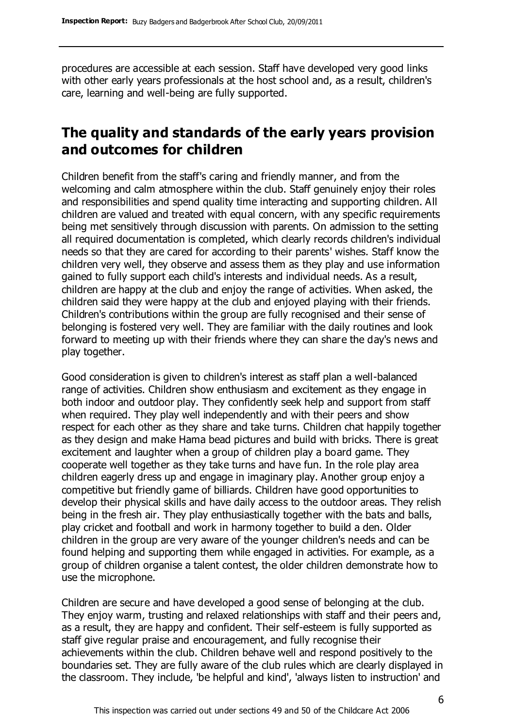procedures are accessible at each session. Staff have developed very good links with other early years professionals at the host school and, as a result, children's care, learning and well-being are fully supported.

### **The quality and standards of the early years provision and outcomes for children**

Children benefit from the staff's caring and friendly manner, and from the welcoming and calm atmosphere within the club. Staff genuinely enjoy their roles and responsibilities and spend quality time interacting and supporting children. All children are valued and treated with equal concern, with any specific requirements being met sensitively through discussion with parents. On admission to the setting all required documentation is completed, which clearly records children's individual needs so that they are cared for according to their parents' wishes. Staff know the children very well, they observe and assess them as they play and use information gained to fully support each child's interests and individual needs. As a result, children are happy at the club and enjoy the range of activities. When asked, the children said they were happy at the club and enjoyed playing with their friends. Children's contributions within the group are fully recognised and their sense of belonging is fostered very well. They are familiar with the daily routines and look forward to meeting up with their friends where they can share the day's news and play together.

Good consideration is given to children's interest as staff plan a well-balanced range of activities. Children show enthusiasm and excitement as they engage in both indoor and outdoor play. They confidently seek help and support from staff when required. They play well independently and with their peers and show respect for each other as they share and take turns. Children chat happily together as they design and make Hama bead pictures and build with bricks. There is great excitement and laughter when a group of children play a board game. They cooperate well together as they take turns and have fun. In the role play area children eagerly dress up and engage in imaginary play. Another group enjoy a competitive but friendly game of billiards. Children have good opportunities to develop their physical skills and have daily access to the outdoor areas. They relish being in the fresh air. They play enthusiastically together with the bats and balls, play cricket and football and work in harmony together to build a den. Older children in the group are very aware of the younger children's needs and can be found helping and supporting them while engaged in activities. For example, as a group of children organise a talent contest, the older children demonstrate how to use the microphone.

Children are secure and have developed a good sense of belonging at the club. They enjoy warm, trusting and relaxed relationships with staff and their peers and, as a result, they are happy and confident. Their self-esteem is fully supported as staff give regular praise and encouragement, and fully recognise their achievements within the club. Children behave well and respond positively to the boundaries set. They are fully aware of the club rules which are clearly displayed in the classroom. They include, 'be helpful and kind', 'always listen to instruction' and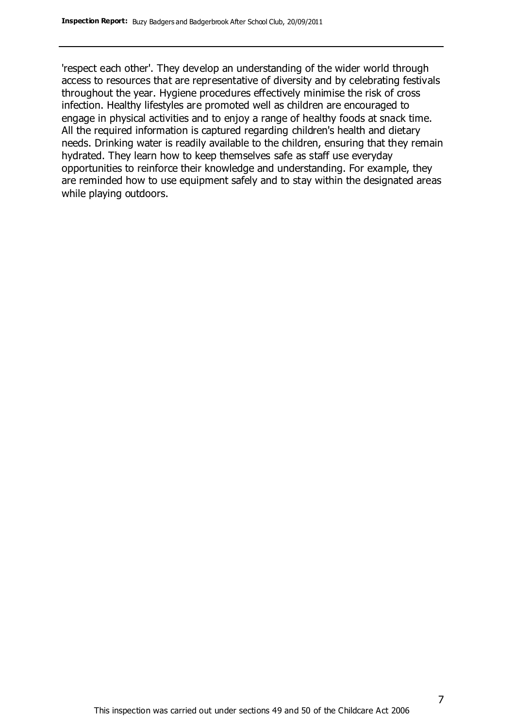'respect each other'. They develop an understanding of the wider world through access to resources that are representative of diversity and by celebrating festivals throughout the year. Hygiene procedures effectively minimise the risk of cross infection. Healthy lifestyles are promoted well as children are encouraged to engage in physical activities and to enjoy a range of healthy foods at snack time. All the required information is captured regarding children's health and dietary needs. Drinking water is readily available to the children, ensuring that they remain hydrated. They learn how to keep themselves safe as staff use everyday opportunities to reinforce their knowledge and understanding. For example, they are reminded how to use equipment safely and to stay within the designated areas while playing outdoors.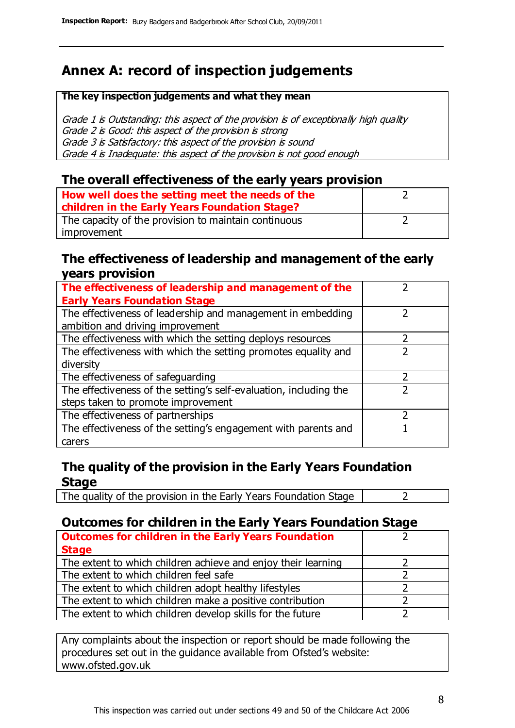### **Annex A: record of inspection judgements**

#### **The key inspection judgements and what they mean**

Grade 1 is Outstanding: this aspect of the provision is of exceptionally high quality Grade 2 is Good: this aspect of the provision is strong Grade 3 is Satisfactory: this aspect of the provision is sound Grade 4 is Inadequate: this aspect of the provision is not good enough

#### **The overall effectiveness of the early years provision**

| How well does the setting meet the needs of the      |  |
|------------------------------------------------------|--|
| children in the Early Years Foundation Stage?        |  |
| The capacity of the provision to maintain continuous |  |
| improvement                                          |  |

#### **The effectiveness of leadership and management of the early years provision**

| The effectiveness of leadership and management of the             |  |
|-------------------------------------------------------------------|--|
| <b>Early Years Foundation Stage</b>                               |  |
| The effectiveness of leadership and management in embedding       |  |
| ambition and driving improvement                                  |  |
| The effectiveness with which the setting deploys resources        |  |
| The effectiveness with which the setting promotes equality and    |  |
| diversity                                                         |  |
| The effectiveness of safeguarding                                 |  |
| The effectiveness of the setting's self-evaluation, including the |  |
| steps taken to promote improvement                                |  |
| The effectiveness of partnerships                                 |  |
| The effectiveness of the setting's engagement with parents and    |  |
| carers                                                            |  |

#### **The quality of the provision in the Early Years Foundation Stage**

The quality of the provision in the Early Years Foundation Stage  $\vert$  2

#### **Outcomes for children in the Early Years Foundation Stage**

| <b>Outcomes for children in the Early Years Foundation</b>    |  |
|---------------------------------------------------------------|--|
| <b>Stage</b>                                                  |  |
| The extent to which children achieve and enjoy their learning |  |
| The extent to which children feel safe                        |  |
| The extent to which children adopt healthy lifestyles         |  |
| The extent to which children make a positive contribution     |  |
| The extent to which children develop skills for the future    |  |

Any complaints about the inspection or report should be made following the procedures set out in the guidance available from Ofsted's website: www.ofsted.gov.uk